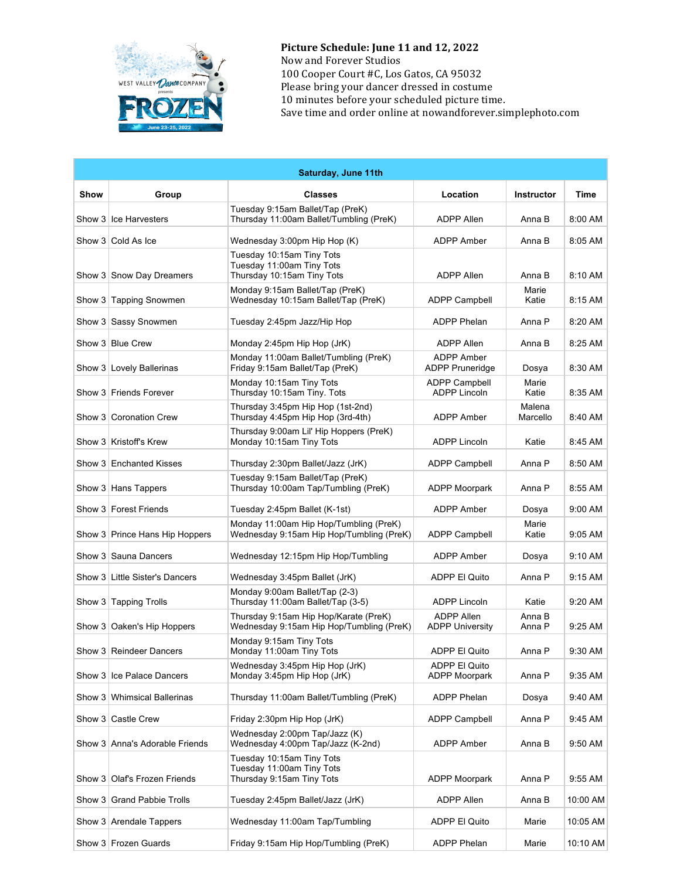

**Picture Schedule: June 11 and 12, 2022** Now and Forever Studios 100 Cooper Court #C, Los Gatos, CA 95032 Please bring your dancer dressed in costume 10 minutes before your scheduled picture time. Save time and order online at nowandforever.simplephoto.com

| Saturday, June 11th |                                |                                                                                      |                                             |                    |           |  |
|---------------------|--------------------------------|--------------------------------------------------------------------------------------|---------------------------------------------|--------------------|-----------|--|
| Show                | Group                          | <b>Classes</b>                                                                       | Location                                    | <b>Instructor</b>  | Time      |  |
|                     | Show 3 Ice Harvesters          | Tuesday 9:15am Ballet/Tap (PreK)<br>Thursday 11:00am Ballet/Tumbling (PreK)          | <b>ADPP Allen</b>                           | Anna B             | 8:00 AM   |  |
|                     | Show 3 Cold As Ice             | Wednesday 3:00pm Hip Hop (K)                                                         | ADPP Amber                                  | Anna B             | 8:05 AM   |  |
|                     | Show 3 Snow Day Dreamers       | Tuesday 10:15am Tiny Tots<br>Tuesday 11:00am Tiny Tots<br>Thursday 10:15am Tiny Tots | <b>ADPP Allen</b>                           | Anna B             | 8:10 AM   |  |
|                     | Show 3 Tapping Snowmen         | Monday 9:15am Ballet/Tap (PreK)<br>Wednesday 10:15am Ballet/Tap (PreK)               | <b>ADPP Campbell</b>                        | Marie<br>Katie     | 8:15 AM   |  |
|                     | Show 3 Sassy Snowmen           | Tuesday 2:45pm Jazz/Hip Hop                                                          | <b>ADPP Phelan</b>                          | Anna P             | 8:20 AM   |  |
|                     | Show 3 Blue Crew               | Monday 2:45pm Hip Hop (JrK)                                                          | <b>ADPP Allen</b>                           | Anna B             | 8:25 AM   |  |
|                     | Show 3   Lovely Ballerinas     | Monday 11:00am Ballet/Tumbling (PreK)<br>Friday 9:15am Ballet/Tap (PreK)             | ADPP Amber<br><b>ADPP Pruneridge</b>        | Dosya              | 8:30 AM   |  |
|                     | Show 3 Friends Forever         | Monday 10:15am Tiny Tots<br>Thursday 10:15am Tiny. Tots                              | <b>ADPP Campbell</b><br>ADPP Lincoln        | Marie<br>Katie     | 8:35 AM   |  |
|                     | Show 3   Coronation Crew       | Thursday 3:45pm Hip Hop (1st-2nd)<br>Thursday 4:45pm Hip Hop (3rd-4th)               | ADPP Amber                                  | Malena<br>Marcello | 8:40 AM   |  |
|                     | Show 3 Kristoff's Krew         | Thursday 9:00am Lil' Hip Hoppers (PreK)<br>Monday 10:15am Tiny Tots                  | <b>ADPP Lincoln</b>                         | Katie              | 8:45 AM   |  |
|                     | Show 3 Enchanted Kisses        | Thursday 2:30pm Ballet/Jazz (JrK)                                                    | <b>ADPP Campbell</b>                        | Anna P             | 8:50 AM   |  |
|                     | Show 3 Hans Tappers            | Tuesday 9:15am Ballet/Tap (PreK)<br>Thursday 10:00am Tap/Tumbling (PreK)             | <b>ADPP Moorpark</b>                        | Anna P             | 8:55 AM   |  |
|                     | Show 3 Forest Friends          | Tuesday 2:45pm Ballet (K-1st)                                                        | ADPP Amber                                  | Dosya              | 9:00 AM   |  |
|                     | Show 3 Prince Hans Hip Hoppers | Monday 11:00am Hip Hop/Tumbling (PreK)<br>Wednesday 9:15am Hip Hop/Tumbling (PreK)   | <b>ADPP Campbell</b>                        | Marie<br>Katie     | $9:05$ AM |  |
|                     | Show 3 Sauna Dancers           | Wednesday 12:15pm Hip Hop/Tumbling                                                   | ADPP Amber                                  | Dosya              | 9:10 AM   |  |
|                     | Show 3 Little Sister's Dancers | Wednesday 3:45pm Ballet (JrK)                                                        | ADPP El Quito                               | Anna P             | 9:15 AM   |  |
|                     | Show 3 Tapping Trolls          | Monday 9:00am Ballet/Tap (2-3)<br>Thursday 11:00am Ballet/Tap (3-5)                  | <b>ADPP Lincoln</b>                         | Katie              | 9:20 AM   |  |
|                     | Show 3   Oaken's Hip Hoppers   | Thursday 9:15am Hip Hop/Karate (PreK)<br>Wednesday 9:15am Hip Hop/Tumbling (PreK)    | <b>ADPP Allen</b><br><b>ADPP University</b> | Anna B<br>Anna P   | 9:25 AM   |  |
|                     | Show 3 Reindeer Dancers        | Monday 9:15am Tiny Tots<br>Monday 11:00am Tiny Tots                                  | ADPP El Quito                               | Anna P             | 9:30 AM   |  |
|                     | Show 3 Ice Palace Dancers      | Wednesday 3:45pm Hip Hop (JrK)<br>Monday 3:45pm Hip Hop (JrK)                        | ADPP El Quito<br><b>ADPP Moorpark</b>       | Anna P             | 9:35 AM   |  |
|                     | Show 3   Whimsical Ballerinas  | Thursday 11:00am Ballet/Tumbling (PreK)                                              | ADPP Phelan                                 | Dosya              | 9:40 AM   |  |
|                     | Show 3 Castle Crew             | Friday 2:30pm Hip Hop (JrK)                                                          | <b>ADPP Campbell</b>                        | Anna P             | 9:45 AM   |  |
|                     | Show 3 Anna's Adorable Friends | Wednesday 2:00pm Tap/Jazz (K)<br>Wednesday 4:00pm Tap/Jazz (K-2nd)                   | <b>ADPP Amber</b>                           | Anna B             | 9:50 AM   |  |
|                     | Show 3 Olaf's Frozen Friends   | Tuesday 10:15am Tiny Tots<br>Tuesday 11:00am Tiny Tots<br>Thursday 9:15am Tiny Tots  | <b>ADPP Moorpark</b>                        | Anna P             | 9:55 AM   |  |
|                     | Show 3 Grand Pabbie Trolls     | Tuesday 2:45pm Ballet/Jazz (JrK)                                                     | ADPP Allen                                  | Anna B             | 10:00 AM  |  |
|                     | Show 3 Arendale Tappers        | Wednesday 11:00am Tap/Tumbling                                                       | ADPP El Quito                               | Marie              | 10:05 AM  |  |
|                     | Show 3 Frozen Guards           | Friday 9:15am Hip Hop/Tumbling (PreK)                                                | ADPP Phelan                                 | Marie              | 10:10 AM  |  |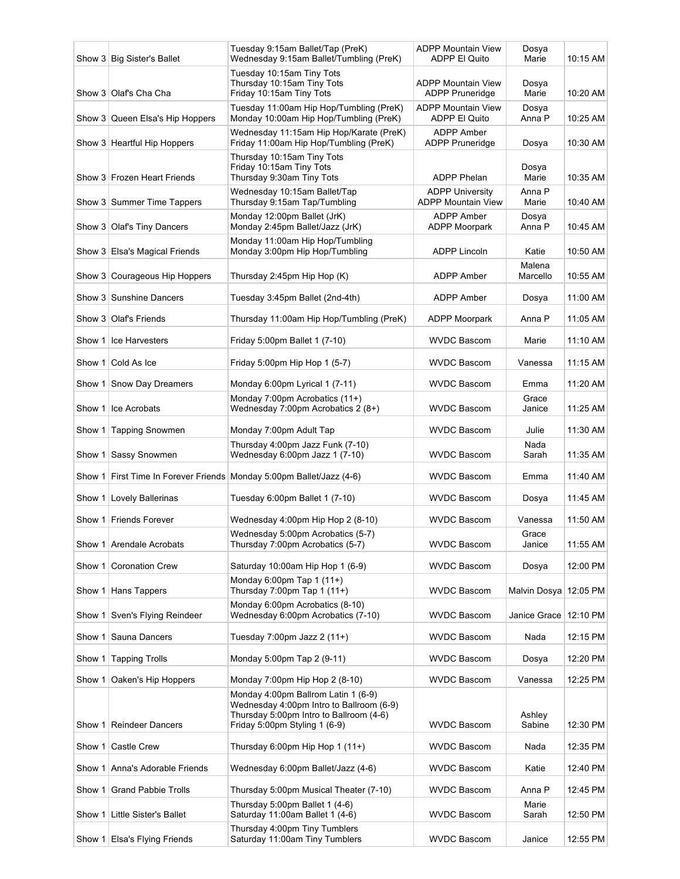|          | Show 3 Big Sister's Ballet      | Tuesday 9:15am Ballet/Tap (PreK)<br>Wednesday 9:15am Ballet/Tumbling (PreK)                                                                                 | <b>ADPP Mountain View</b><br><b>ADPP El Quito</b>   | Dosya<br>Marie          | 10:15 AM |
|----------|---------------------------------|-------------------------------------------------------------------------------------------------------------------------------------------------------------|-----------------------------------------------------|-------------------------|----------|
|          | Show 3 Olaf's Cha Cha           | Tuesday 10:15am Tiny Tots<br>Thursday 10:15am Tiny Tots<br>Friday 10:15am Tiny Tots                                                                         | <b>ADPP Mountain View</b><br><b>ADPP Pruneridge</b> | Dosya<br>Marie          | 10:20 AM |
|          | Show 3 Queen Elsa's Hip Hoppers | Tuesday 11:00am Hip Hop/Tumbling (PreK)<br>Monday 10:00am Hip Hop/Tumbling (PreK)                                                                           | <b>ADPP Mountain View</b><br>ADPP El Quito          | Dosya<br>Anna P         | 10:25 AM |
|          | Show 3 Heartful Hip Hoppers     | Wednesday 11:15am Hip Hop/Karate (PreK)<br>Friday 11:00am Hip Hop/Tumbling (PreK)                                                                           | <b>ADPP Amber</b><br><b>ADPP Pruneridge</b>         | Dosya                   | 10:30 AM |
|          | Show 3 Frozen Heart Friends     | Thursday 10:15am Tiny Tots<br>Friday 10:15am Tiny Tots<br>Thursday 9:30am Tiny Tots                                                                         | <b>ADPP Phelan</b>                                  | Dosya<br>Marie          | 10:35 AM |
|          | Show 3 Summer Time Tappers      | Wednesday 10:15am Ballet/Tap<br>Thursday 9:15am Tap/Tumbling                                                                                                | <b>ADPP University</b><br><b>ADPP Mountain View</b> | Anna P<br>Marie         | 10:40 AM |
|          | Show 3 Olaf's Tiny Dancers      | Monday 12:00pm Ballet (JrK)<br>Monday 2:45pm Ballet/Jazz (JrK)                                                                                              | <b>ADPP Amber</b><br><b>ADPP Moorpark</b>           | Dosya<br>Anna P         | 10:45 AM |
|          | Show 3 Elsa's Magical Friends   | Monday 11:00am Hip Hop/Tumbling<br>Monday 3:00pm Hip Hop/Tumbling                                                                                           | <b>ADPP Lincoln</b>                                 | Katie                   | 10:50 AM |
|          | Show 3 Courageous Hip Hoppers   | Thursday 2:45pm Hip Hop (K)                                                                                                                                 | <b>ADPP Amber</b>                                   | Malena<br>Marcello      | 10:55 AM |
|          | Show 3 Sunshine Dancers         | Tuesday 3:45pm Ballet (2nd-4th)                                                                                                                             | <b>ADPP Amber</b>                                   | Dosya                   | 11:00 AM |
|          | Show 3 Olaf's Friends           | Thursday 11:00am Hip Hop/Tumbling (PreK)                                                                                                                    | <b>ADPP Moorpark</b>                                | Anna P                  | 11:05 AM |
| Show 1   | Ice Harvesters                  | Friday 5:00pm Ballet 1 (7-10)                                                                                                                               | <b>WVDC Bascom</b>                                  | Marie                   | 11:10 AM |
| Show 1   | Cold As Ice                     | Friday 5:00pm Hip Hop 1 (5-7)                                                                                                                               | <b>WVDC Bascom</b>                                  | Vanessa                 | 11:15 AM |
| Show $1$ | Snow Day Dreamers               | Monday 6:00pm Lyrical 1 (7-11)                                                                                                                              | <b>WVDC Bascom</b>                                  | Emma                    | 11:20 AM |
|          | Show 1 Ice Acrobats             | Monday 7:00pm Acrobatics (11+)<br>Wednesday 7:00pm Acrobatics 2 (8+)                                                                                        | <b>WVDC Bascom</b>                                  | Grace<br>Janice         | 11:25 AM |
| Show 1   | <b>Tapping Snowmen</b>          | Monday 7:00pm Adult Tap                                                                                                                                     | <b>WVDC Bascom</b>                                  | Julie                   | 11:30 AM |
| Show 1   | Sassy Snowmen                   | Thursday 4:00pm Jazz Funk (7-10)<br>Wednesday 6:00pm Jazz 1 (7-10)                                                                                          | <b>WVDC Bascom</b>                                  | Nada<br>Sarah           | 11:35 AM |
| Show 1   |                                 | First Time In Forever Friends Monday 5:00pm Ballet/Jazz (4-6)                                                                                               | <b>WVDC Bascom</b>                                  | Emma                    | 11:40 AM |
| Show 1   | Lovely Ballerinas               | Tuesday 6:00pm Ballet 1 (7-10)                                                                                                                              | <b>WVDC Bascom</b>                                  | Dosya                   | 11:45 AM |
| Show 1   | <b>Friends Forever</b>          | Wednesday 4:00pm Hip Hop 2 (8-10)                                                                                                                           | <b>WVDC Bascom</b>                                  | Vanessa                 | 11:50 AM |
|          | Show 1 Arendale Acrobats        | Wednesday 5:00pm Acrobatics (5-7)<br>Thursday 7:00pm Acrobatics (5-7)                                                                                       | <b>WVDC Bascom</b>                                  | Grace<br>Janice         | 11:55 AM |
| Show 1   | <b>Coronation Crew</b>          | Saturday 10:00am Hip Hop 1 (6-9)                                                                                                                            | <b>WVDC Bascom</b>                                  | Dosya                   | 12:00 PM |
| Show 1   | Hans Tappers                    | Monday 6:00pm Tap 1 (11+)<br>Thursday 7:00pm Tap 1 (11+)                                                                                                    | <b>WVDC Bascom</b>                                  | Malvin Dosya 12:05 PM   |          |
| Show 1   | Sven's Flying Reindeer          | Monday 6:00pm Acrobatics (8-10)<br>Wednesday 6:00pm Acrobatics (7-10)                                                                                       | <b>WVDC Bascom</b>                                  | Janice Grace   12:10 PM |          |
| Show 1   | Sauna Dancers                   | Tuesday 7:00pm Jazz 2 (11+)                                                                                                                                 | <b>WVDC Bascom</b>                                  | Nada                    | 12:15 PM |
| Show 1   | <b>Tapping Trolls</b>           | Monday 5:00pm Tap 2 (9-11)                                                                                                                                  | <b>WVDC Bascom</b>                                  | Dosya                   | 12:20 PM |
| Show 1   | Oaken's Hip Hoppers             | Monday 7:00pm Hip Hop 2 (8-10)                                                                                                                              | <b>WVDC Bascom</b>                                  | Vanessa                 | 12:25 PM |
| Show 1   | <b>Reindeer Dancers</b>         | Monday 4:00pm Ballrom Latin 1 (6-9)<br>Wednesday 4:00pm Intro to Ballroom (6-9)<br>Thursday 5:00pm Intro to Ballroom (4-6)<br>Friday 5:00pm Styling 1 (6-9) | <b>WVDC Bascom</b>                                  | Ashley<br>Sabine        | 12:30 PM |
| Show 1   | Castle Crew                     | Thursday 6:00pm Hip Hop 1 $(11+)$                                                                                                                           | <b>WVDC Bascom</b>                                  | Nada                    | 12:35 PM |
|          | Show 1 Anna's Adorable Friends  | Wednesday 6:00pm Ballet/Jazz (4-6)                                                                                                                          | <b>WVDC Bascom</b>                                  | Katie                   | 12:40 PM |
| Show 1   | <b>Grand Pabbie Trolls</b>      | Thursday 5:00pm Musical Theater (7-10)                                                                                                                      | <b>WVDC Bascom</b>                                  | Anna P                  | 12:45 PM |
|          | Show 1 Little Sister's Ballet   | Thursday 5:00pm Ballet 1 (4-6)<br>Saturday 11:00am Ballet 1 (4-6)                                                                                           | <b>WVDC Bascom</b>                                  | Marie<br>Sarah          | 12:50 PM |
|          | Show 1 Elsa's Flying Friends    | Thursday 4:00pm Tiny Tumblers<br>Saturday 11:00am Tiny Tumblers                                                                                             | <b>WVDC Bascom</b>                                  | Janice                  | 12:55 PM |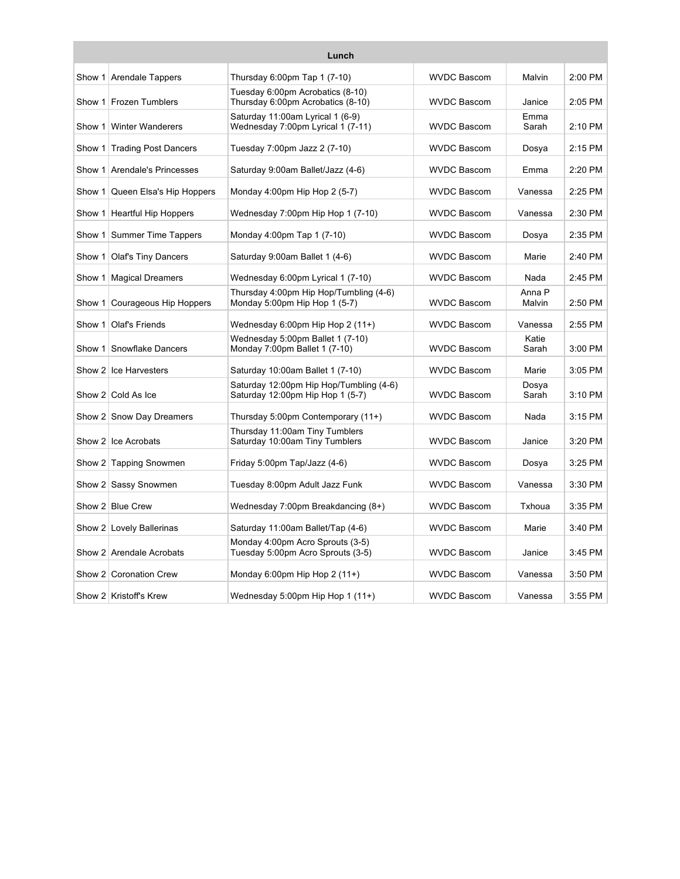| Lunch    |                              |                                                                             |                    |                  |           |
|----------|------------------------------|-----------------------------------------------------------------------------|--------------------|------------------|-----------|
|          | Show 1 Arendale Tappers      | Thursday 6:00pm Tap 1 (7-10)                                                | <b>WVDC Bascom</b> | Malvin           | $2:00$ PM |
| Show 1   | <b>Frozen Tumblers</b>       | Tuesday 6:00pm Acrobatics (8-10)<br>Thursday 6:00pm Acrobatics (8-10)       | <b>WVDC Bascom</b> | Janice           | 2:05 PM   |
|          | Show 1   Winter Wanderers    | Saturday 11:00am Lyrical 1 (6-9)<br>Wednesday 7:00pm Lyrical 1 (7-11)       | <b>WVDC Bascom</b> | Emma<br>Sarah    | 2:10 PM   |
| Show 1   | <b>Trading Post Dancers</b>  | Tuesday 7:00pm Jazz 2 (7-10)                                                | <b>WVDC Bascom</b> | Dosya            | $2:15$ PM |
|          | Show 1 Arendale's Princesses | Saturday 9:00am Ballet/Jazz (4-6)                                           | <b>WVDC Bascom</b> | Emma             | 2:20 PM   |
| Show 1   | Queen Elsa's Hip Hoppers     | Monday 4:00pm Hip Hop 2 (5-7)                                               | <b>WVDC Bascom</b> | Vanessa          | $2:25$ PM |
| Show 1   | <b>Heartful Hip Hoppers</b>  | Wednesday 7:00pm Hip Hop 1 (7-10)                                           | <b>WVDC Bascom</b> | Vanessa          | 2:30 PM   |
|          | Show 1 Summer Time Tappers   | Monday 4:00pm Tap 1 (7-10)                                                  | <b>WVDC Bascom</b> | Dosya            | 2:35 PM   |
|          | Show 1 Olaf's Tiny Dancers   | Saturday 9:00am Ballet 1 (4-6)                                              | <b>WVDC Bascom</b> | Marie            | 2:40 PM   |
| Show $1$ | <b>Magical Dreamers</b>      | Wednesday 6:00pm Lyrical 1 (7-10)                                           | <b>WVDC Bascom</b> | Nada             | $2:45$ PM |
| Show $1$ | Courageous Hip Hoppers       | Thursday 4:00pm Hip Hop/Tumbling (4-6)<br>Monday 5:00pm Hip Hop 1 (5-7)     | <b>WVDC Bascom</b> | Anna P<br>Malvin | 2:50 PM   |
|          | Show 1   Olaf's Friends      | Wednesday 6:00pm Hip Hop 2 (11+)                                            | <b>WVDC Bascom</b> | Vanessa          | 2:55 PM   |
| Show 1   | Snowflake Dancers            | Wednesday 5:00pm Ballet 1 (7-10)<br>Monday 7:00pm Ballet 1 (7-10)           | <b>WVDC Bascom</b> | Katie<br>Sarah   | $3:00$ PM |
|          | Show 2 Ice Harvesters        | Saturday 10:00am Ballet 1 (7-10)                                            | <b>WVDC Bascom</b> | Marie            | 3:05 PM   |
|          | Show 2 Cold As Ice           | Saturday 12:00pm Hip Hop/Tumbling (4-6)<br>Saturday 12:00pm Hip Hop 1 (5-7) | <b>WVDC Bascom</b> | Dosva<br>Sarah   | 3:10 PM   |
|          | Show 2 Snow Day Dreamers     | Thursday 5:00pm Contemporary (11+)                                          | <b>WVDC Bascom</b> | Nada             | 3:15 PM   |
|          | Show 2 Ice Acrobats          | Thursday 11:00am Tiny Tumblers<br>Saturday 10:00am Tiny Tumblers            | <b>WVDC Bascom</b> | Janice           | 3:20 PM   |
|          | Show 2 Tapping Snowmen       | Friday 5:00pm Tap/Jazz (4-6)                                                | <b>WVDC Bascom</b> | Dosya            | 3:25 PM   |
|          | Show 2 Sassy Snowmen         | Tuesday 8:00pm Adult Jazz Funk                                              | <b>WVDC Bascom</b> | Vanessa          | 3:30 PM   |
|          | Show 2 Blue Crew             | Wednesday 7:00pm Breakdancing (8+)                                          | <b>WVDC Bascom</b> | Txhoua           | 3:35 PM   |
|          | Show 2 Lovely Ballerinas     | Saturday 11:00am Ballet/Tap (4-6)                                           | <b>WVDC Bascom</b> | Marie            | 3:40 PM   |
|          | Show 2 Arendale Acrobats     | Monday 4:00pm Acro Sprouts (3-5)<br>Tuesday 5:00pm Acro Sprouts (3-5)       | <b>WVDC Bascom</b> | Janice           | 3:45 PM   |
|          | Show 2 Coronation Crew       | Monday 6:00pm Hip Hop $2(11+)$                                              | <b>WVDC Bascom</b> | Vanessa          | 3:50 PM   |
|          | Show 2 Kristoff's Krew       | Wednesday 5:00pm Hip Hop 1 (11+)                                            | <b>WVDC Bascom</b> | Vanessa          | 3:55 PM   |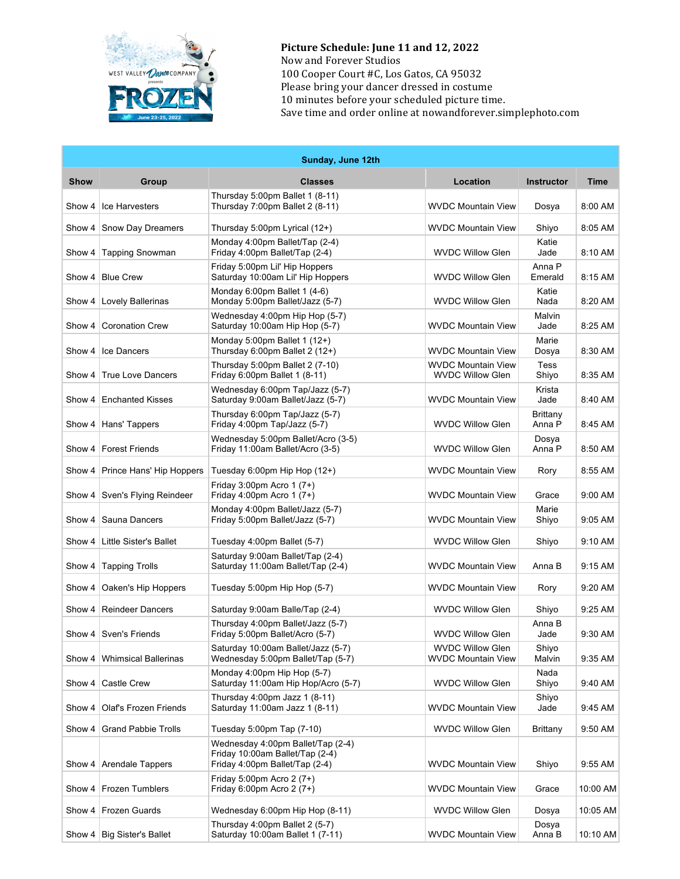

Picture Schedule: June 11 and 12, 2022 Now and Forever Studios 100 Cooper Court #C, Los Gatos, CA 95032 Please bring your dancer dressed in costume 10 minutes before your scheduled picture time. Save time and order online at nowandforever.simplephoto.com

| Sunday, June 12th |                               |                                                                                                        |                                                      |                    |           |
|-------------------|-------------------------------|--------------------------------------------------------------------------------------------------------|------------------------------------------------------|--------------------|-----------|
| <b>Show</b>       | Group                         | <b>Classes</b>                                                                                         | Location                                             | <b>Instructor</b>  | Time      |
| Show 4            | Ice Harvesters                | Thursday 5:00pm Ballet 1 (8-11)<br>Thursday 7:00pm Ballet 2 (8-11)                                     | <b>WVDC Mountain View</b>                            | Dosya              | 8:00 AM   |
| Show 4            | Snow Day Dreamers             | Thursday 5:00pm Lyrical (12+)                                                                          | <b>WVDC Mountain View</b>                            | Shiyo              | 8:05 AM   |
| Show 4            | <b>Tapping Snowman</b>        | Monday 4:00pm Ballet/Tap (2-4)<br>Friday 4:00pm Ballet/Tap (2-4)                                       | <b>WVDC Willow Glen</b>                              | Katie<br>Jade      | 8:10 AM   |
| Show 4            | <b>Blue Crew</b>              | Friday 5:00pm Lil' Hip Hoppers<br>Saturday 10:00am Lil' Hip Hoppers                                    | <b>WVDC Willow Glen</b>                              | Anna P<br>Emerald  | 8:15 AM   |
| Show 4            | Lovely Ballerinas             | Monday 6:00pm Ballet 1 (4-6)<br>Monday 5:00pm Ballet/Jazz (5-7)                                        | <b>WVDC Willow Glen</b>                              | Katie<br>Nada      | 8:20 AM   |
| Show 4            | <b>Coronation Crew</b>        | Wednesday 4:00pm Hip Hop (5-7)<br>Saturday 10:00am Hip Hop (5-7)                                       | <b>WVDC Mountain View</b>                            | Malvin<br>Jade     | 8:25 AM   |
| Show 4            | Ice Dancers                   | Monday 5:00pm Ballet 1 (12+)<br>Thursday 6:00pm Ballet 2 (12+)                                         | <b>WVDC Mountain View</b>                            | Marie<br>Dosya     | 8:30 AM   |
| Show 4            | <b>True Love Dancers</b>      | Thursday 5:00pm Ballet 2 (7-10)<br>Friday 6:00pm Ballet 1 (8-11)                                       | <b>WVDC Mountain View</b><br><b>WVDC Willow Glen</b> | Tess<br>Shiyo      | 8:35 AM   |
| Show 4            | <b>Enchanted Kisses</b>       | Wednesday 6:00pm Tap/Jazz (5-7)<br>Saturday 9:00am Ballet/Jazz (5-7)                                   | <b>WVDC Mountain View</b>                            | Krista<br>Jade     | 8:40 AM   |
| Show $4$          | Hans' Tappers                 | Thursday 6:00pm Tap/Jazz (5-7)<br>Friday 4:00pm Tap/Jazz (5-7)                                         | <b>WVDC Willow Glen</b>                              | Brittany<br>Anna P | 8:45 AM   |
|                   | Show 4   Forest Friends       | Wednesday 5:00pm Ballet/Acro (3-5)<br>Friday 11:00am Ballet/Acro (3-5)                                 | <b>WVDC Willow Glen</b>                              | Dosya<br>Anna P    | 8:50 AM   |
| Show $4$          | Prince Hans' Hip Hoppers      | Tuesday 6:00pm Hip Hop $(12+)$                                                                         | <b>WVDC Mountain View</b>                            | Rory               | 8:55 AM   |
| Show $4$          | Sven's Flying Reindeer        | Friday 3:00pm Acro 1 (7+)<br>Friday 4:00pm Acro 1 (7+)                                                 | <b>WVDC Mountain View</b>                            | Grace              | 9:00 AM   |
| Show 4            | Sauna Dancers                 | Monday 4:00pm Ballet/Jazz (5-7)<br>Friday 5:00pm Ballet/Jazz (5-7)                                     | <b>WVDC Mountain View</b>                            | Marie<br>Shiyo     | 9:05 AM   |
| Show $4$          | <b>Little Sister's Ballet</b> | Tuesday 4:00pm Ballet (5-7)                                                                            | <b>WVDC Willow Glen</b>                              | Shiyo              | 9:10 AM   |
| Show 4            | <b>Tapping Trolls</b>         | Saturday 9:00am Ballet/Tap (2-4)<br>Saturday 11:00am Ballet/Tap (2-4)                                  | <b>WVDC Mountain View</b>                            | Anna B             | 9:15 AM   |
| Show 4            | Oaken's Hip Hoppers           | Tuesday 5:00pm Hip Hop (5-7)                                                                           | <b>WVDC Mountain View</b>                            | Rory               | 9:20 AM   |
| Show 4            | <b>Reindeer Dancers</b>       | Saturday 9:00am Balle/Tap (2-4)                                                                        | <b>WVDC Willow Glen</b>                              | Shiyo              | 9:25 AM   |
| Show 4            | Sven's Friends                | Thursday 4:00pm Ballet/Jazz (5-7)<br>Friday 5:00pm Ballet/Acro (5-7)                                   | <b>WVDC Willow Glen</b>                              | Anna B<br>Jade     | 9:30 AM   |
|                   | Show 4   Whimsical Ballerinas | Saturday 10:00am Ballet/Jazz (5-7)<br>Wednesday 5:00pm Ballet/Tap (5-7)                                | <b>WVDC Willow Glen</b><br><b>WVDC Mountain View</b> | Shiyo<br>Malvin    | 9:35 AM   |
| Show 4            | Castle Crew                   | Monday 4:00pm Hip Hop (5-7)<br>Saturday 11:00am Hip Hop/Acro (5-7)                                     | <b>WVDC Willow Glen</b>                              | Nada<br>Shiyo      | 9:40 AM   |
| Show 4            | <b>Olaf's Frozen Friends</b>  | Thursday 4:00pm Jazz 1 (8-11)<br>Saturday 11:00am Jazz 1 (8-11)                                        | <b>WVDC Mountain View</b>                            | Shiyo<br>Jade      | 9:45 AM   |
| Show 4            | <b>Grand Pabbie Trolls</b>    | Tuesday 5:00pm Tap (7-10)                                                                              | <b>WVDC Willow Glen</b>                              | Brittany           | 9:50 AM   |
| Show 4            | Arendale Tappers              | Wednesday 4:00pm Ballet/Tap (2-4)<br>Friday 10:00am Ballet/Tap (2-4)<br>Friday 4:00pm Ballet/Tap (2-4) | <b>WVDC Mountain View</b>                            | Shiyo              | $9:55$ AM |
| Show 4            | Frozen Tumblers               | Friday 5:00pm Acro 2 (7+)<br>Friday 6:00pm Acro 2 $(7+)$                                               | <b>WVDC Mountain View</b>                            | Grace              | 10:00 AM  |
| Show 4            | Frozen Guards                 | Wednesday 6:00pm Hip Hop (8-11)                                                                        | <b>WVDC Willow Glen</b>                              | Dosya              | 10:05 AM  |
| Show 4            | <b>Big Sister's Ballet</b>    | Thursday 4:00pm Ballet 2 (5-7)<br>Saturday 10:00am Ballet 1 (7-11)                                     | <b>WVDC Mountain View</b>                            | Dosya<br>Anna B    | 10:10 AM  |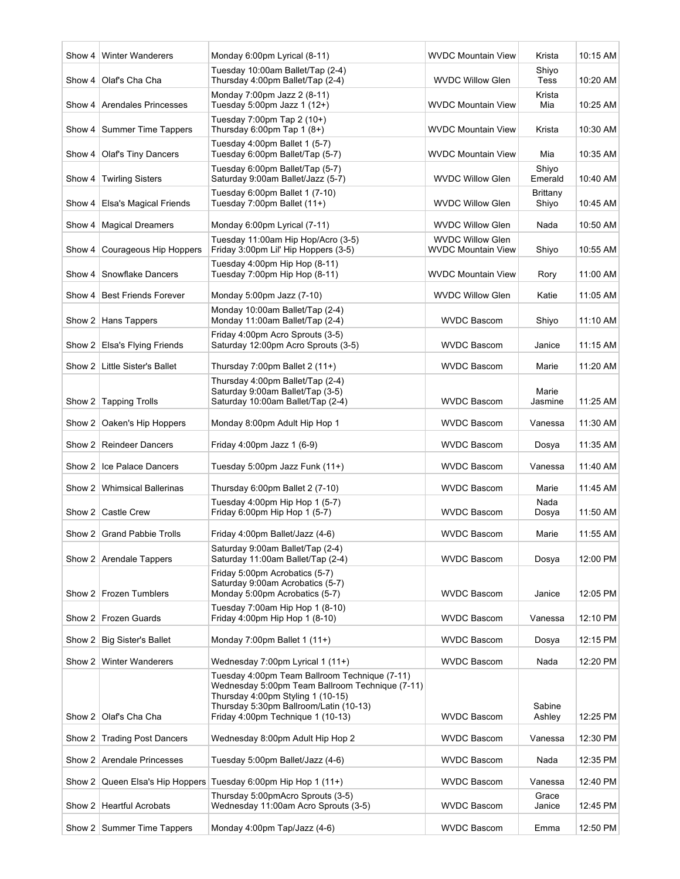|        | Show 4   Winter Wanderers                            | Monday 6:00pm Lyrical (8-11)                                                                                                                                                                                                                             | <b>WVDC Mountain View</b>                     | Krista                   | 10:15 AM             |
|--------|------------------------------------------------------|----------------------------------------------------------------------------------------------------------------------------------------------------------------------------------------------------------------------------------------------------------|-----------------------------------------------|--------------------------|----------------------|
| Show 4 | Olaf's Cha Cha                                       | Tuesday 10:00am Ballet/Tap (2-4)<br>Thursday 4:00pm Ballet/Tap (2-4)                                                                                                                                                                                     | <b>WVDC Willow Glen</b>                       | Shiyo<br><b>Tess</b>     | 10:20 AM             |
|        | Show 4   Arendales Princesses                        | Monday 7:00pm Jazz 2 (8-11)<br>Tuesday 5:00pm Jazz 1 (12+)                                                                                                                                                                                               | <b>WVDC Mountain View</b>                     | Krista<br>Mia            | 10:25 AM             |
|        | Show 4   Summer Time Tappers                         | Tuesday 7:00pm Tap 2 (10+)<br>Thursday 6:00pm Tap 1 $(8+)$                                                                                                                                                                                               | WVDC Mountain View                            | Krista                   | 10:30 AM             |
| Show 4 | <b>Olaf's Tiny Dancers</b>                           | Tuesday 4:00pm Ballet 1 (5-7)<br>Tuesday 6:00pm Ballet/Tap (5-7)                                                                                                                                                                                         | <b>WVDC Mountain View</b>                     | Mia                      | 10:35 AM             |
| Show 4 | <b>Twirling Sisters</b>                              | Tuesday 6:00pm Ballet/Tap (5-7)<br>Saturday 9:00am Ballet/Jazz (5-7)                                                                                                                                                                                     | <b>WVDC Willow Glen</b>                       | Shiyo<br>Emerald         | 10:40 AM             |
| Show 4 | Elsa's Magical Friends                               | Tuesday 6:00pm Ballet 1 (7-10)<br>Tuesday 7:00pm Ballet (11+)                                                                                                                                                                                            | <b>WVDC Willow Glen</b>                       | <b>Brittany</b><br>Shiyo | 10:45 AM             |
|        | Show 4   Magical Dreamers                            | Monday 6:00pm Lyrical (7-11)                                                                                                                                                                                                                             | <b>WVDC Willow Glen</b>                       | Nada                     | 10:50 AM             |
|        | Show 4   Courageous Hip Hoppers                      | Tuesday 11:00am Hip Hop/Acro (3-5)<br>Friday 3:00pm Lil' Hip Hoppers (3-5)                                                                                                                                                                               | <b>WVDC Willow Glen</b><br>WVDC Mountain View | Shiyo                    | 10:55 AM             |
| Show 4 | Snowflake Dancers                                    | Tuesday 4:00pm Hip Hop (8-11)<br>Tuesday 7:00pm Hip Hop (8-11)                                                                                                                                                                                           | <b>WVDC Mountain View</b>                     | Rory                     | 11:00 AM             |
|        | Show 4   Best Friends Forever                        | Monday 5:00pm Jazz (7-10)                                                                                                                                                                                                                                | <b>WVDC Willow Glen</b>                       | Katie                    | 11:05 AM             |
|        | Show 2 Hans Tappers                                  | Monday 10:00am Ballet/Tap (2-4)<br>Monday 11:00am Ballet/Tap (2-4)                                                                                                                                                                                       | <b>WVDC Bascom</b>                            | Shiyo                    | 11:10 AM             |
|        | Show 2 Elsa's Flying Friends                         | Friday 4:00pm Acro Sprouts (3-5)<br>Saturday 12:00pm Acro Sprouts (3-5)                                                                                                                                                                                  | <b>WVDC Bascom</b>                            | Janice                   | 11:15 AM             |
|        | Show 2   Little Sister's Ballet                      | Thursday 7:00pm Ballet $2(11+)$                                                                                                                                                                                                                          | <b>WVDC Bascom</b>                            | Marie                    | 11:20 AM             |
|        | Show 2 Tapping Trolls                                | Thursday 4:00pm Ballet/Tap (2-4)<br>Saturday 9:00am Ballet/Tap (3-5)<br>Saturday 10:00am Ballet/Tap (2-4)                                                                                                                                                | <b>WVDC Bascom</b>                            | Marie<br>Jasmine         | 11:25 AM             |
|        | Show 2   Oaken's Hip Hoppers                         | Monday 8:00pm Adult Hip Hop 1                                                                                                                                                                                                                            | <b>WVDC Bascom</b>                            | Vanessa                  | 11:30 AM             |
|        | Show 2   Reindeer Dancers                            | Friday 4:00pm Jazz 1 (6-9)                                                                                                                                                                                                                               | <b>WVDC Bascom</b>                            | Dosya                    | 11:35 AM             |
|        | Show 2 Ice Palace Dancers                            | Tuesday 5:00pm Jazz Funk (11+)                                                                                                                                                                                                                           | <b>WVDC Bascom</b>                            | Vanessa                  | 11:40 AM             |
|        | Show 2   Whimsical Ballerinas                        | Thursday 6:00pm Ballet 2 (7-10)                                                                                                                                                                                                                          | <b>WVDC Bascom</b>                            | Marie                    | 11:45 AM             |
|        | Show 2   Castle Crew                                 | Tuesday 4:00pm Hip Hop 1 (5-7)<br>Friday 6:00pm Hip Hop 1 (5-7)                                                                                                                                                                                          | <b>WVDC Bascom</b>                            | Nada<br>Dosya            | 11:50 AM             |
|        | Show 2   Grand Pabbie Trolls                         | Friday 4:00pm Ballet/Jazz (4-6)                                                                                                                                                                                                                          | <b>WVDC Bascom</b>                            | Marie                    | 11:55 AM             |
|        | Show 2 Arendale Tappers                              | Saturday 9:00am Ballet/Tap (2-4)<br>Saturday 11:00am Ballet/Tap (2-4)                                                                                                                                                                                    | <b>WVDC Bascom</b>                            | Dosya                    | 12:00 PM             |
|        | Show 2 Frozen Tumblers                               | Friday 5:00pm Acrobatics (5-7)<br>Saturday 9:00am Acrobatics (5-7)<br>Monday 5:00pm Acrobatics (5-7)                                                                                                                                                     | <b>WVDC Bascom</b>                            | Janice                   | 12:05 PM             |
|        |                                                      | Tuesday 7:00am Hip Hop 1 (8-10)                                                                                                                                                                                                                          |                                               |                          |                      |
|        | Show 2   Frozen Guards                               | Friday 4:00pm Hip Hop 1 (8-10)                                                                                                                                                                                                                           | <b>WVDC Bascom</b>                            | Vanessa                  | 12:10 PM             |
|        | Show 2   Big Sister's Ballet                         | Monday 7:00pm Ballet 1 $(11+)$                                                                                                                                                                                                                           | <b>WVDC Bascom</b>                            | Dosya                    | 12:15 PM             |
|        | Show 2   Winter Wanderers<br>Show 2   Olaf's Cha Cha | Wednesday 7:00pm Lyrical 1 (11+)<br>Tuesday 4:00pm Team Ballroom Technique (7-11)<br>Wednesday 5:00pm Team Ballroom Technique (7-11)<br>Thursday 4:00pm Styling 1 (10-15)<br>Thursday 5:30pm Ballroom/Latin (10-13)<br>Friday 4:00pm Technique 1 (10-13) | <b>WVDC Bascom</b><br><b>WVDC Bascom</b>      | Nada<br>Sabine<br>Ashley | 12:20 PM<br>12:25 PM |
|        | Show 2 Trading Post Dancers                          | Wednesday 8:00pm Adult Hip Hop 2                                                                                                                                                                                                                         | <b>WVDC Bascom</b>                            | Vanessa                  | 12:30 PM             |
|        | Show 2   Arendale Princesses                         | Tuesday 5:00pm Ballet/Jazz (4-6)                                                                                                                                                                                                                         | <b>WVDC Bascom</b>                            | Nada                     | 12:35 PM             |
|        |                                                      | Show 2 Queen Elsa's Hip Hoppers Tuesday 6:00pm Hip Hop 1 (11+)                                                                                                                                                                                           | <b>WVDC Bascom</b>                            | Vanessa                  | 12:40 PM             |
|        | Show 2   Heartful Acrobats                           | Thursday 5:00pmAcro Sprouts (3-5)<br>Wednesday 11:00am Acro Sprouts (3-5)                                                                                                                                                                                | <b>WVDC Bascom</b>                            | Grace<br>Janice          | 12:45 PM             |
|        | Show 2 Summer Time Tappers                           | Monday 4:00pm Tap/Jazz (4-6)                                                                                                                                                                                                                             | <b>WVDC Bascom</b>                            | Emma                     | 12:50 PM             |